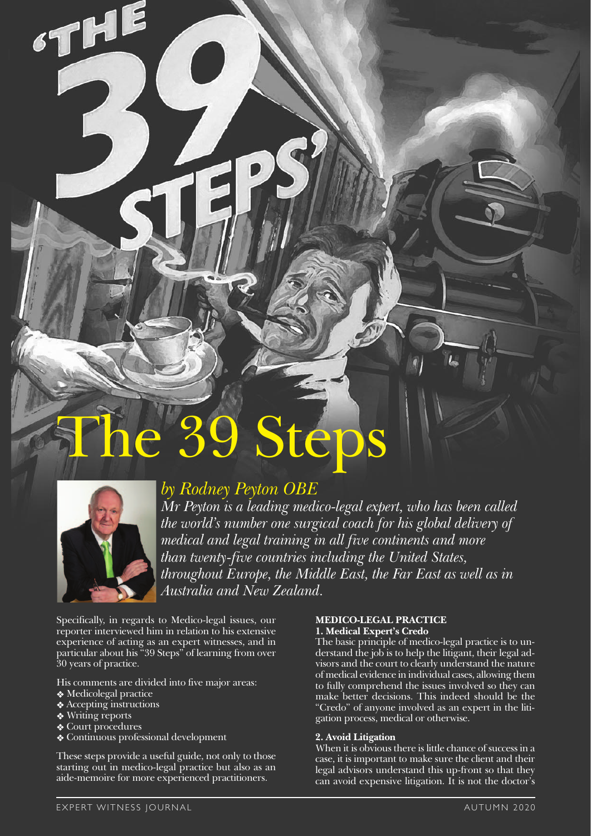# Steps



THE

# *by Rodney Peyton OBE*

*Mr Peyton is a leading medico-legal expert, who has been called the world's number one surgical coach for his global delivery of medical and legal training in all five continents and more than twenty-five countries including the United States, throughout Europe, the Middle East, the Far East as well as in Australia and New Zealand.* 

Specifically, in regards to Medico-legal issues, our reporter interviewed him in relation to his extensive experience of acting as an expert witnesses, and in particular about his "39 Steps" of learning from over 30 years of practice.

His comments are divided into five major areas:

- ❖ Medicolegal practice
- ❖ Accepting instructions
- **❖** Writing reports
- ❖ Court procedures
- ❖ Continuous professional development

These steps provide a useful guide, not only to those starting out in medico-legal practice but also as an aide-memoire for more experienced practitioners.

# **MEDICO-LEGAL PRACTICE**

**1. Medical Expert's Credo**

The basic principle of medico-legal practice is to understand the job is to help the litigant, their legal advisors and the court to clearly understand the nature of medical evidence in individual cases, allowing them to fully comprehend the issues involved so they can make better decisions. This indeed should be the "Credo" of anyone involved as an expert in the litigation process, medical or otherwise.

# **2. Avoid Litigation**

When it is obvious there is little chance of success in a case, it is important to make sure the client and their legal advisors understand this up-front so that they can avoid expensive litigation. It is not the doctor's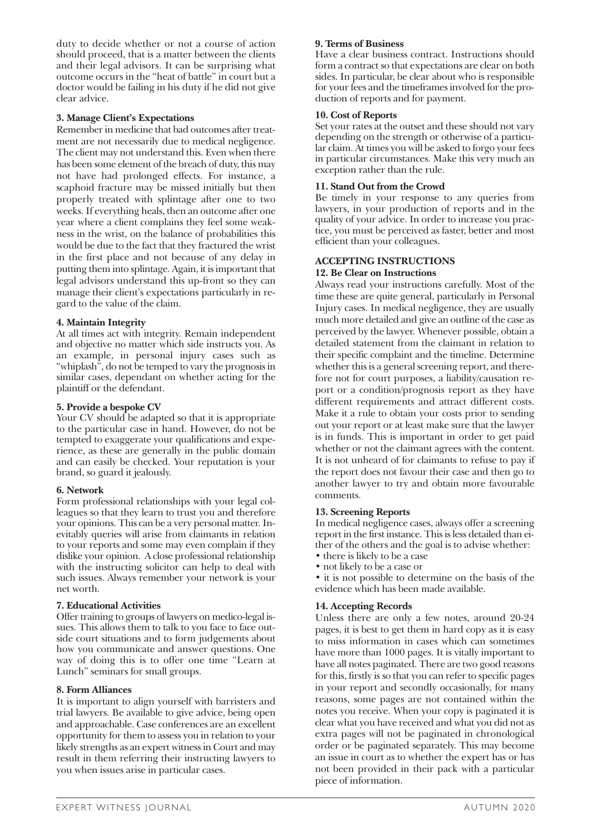duty to decide whether or not a course of action should proceed, that is a matter between the clients and their legal advisors. It can be surprising what outcome occurs in the "heat of battle" in court but a doctor would be failing in his duty if he did not give clear advice.

# **3. Manage Client's Expectations**

Remember in medicine that bad outcomes after treatment are not necessarily due to medical negligence. The client may not understand this. Even when there has been some element of the breach of duty, this may not have had prolonged effects. For instance, a scaphoid fracture may be missed initially but then properly treated with splintage after one to two weeks. If everything heals, then an outcome after one year where a client complains they feel some weakness in the wrist, on the balance of probabilities this would be due to the fact that they fractured the wrist in the first place and not because of any delay in putting them into splintage. Again, it is important that legal advisors understand this up-front so they can manage their client's expectations particularly in regard to the value of the claim.

# **4. Maintain Integrity**

At all times act with integrity. Remain independent and objective no matter which side instructs you. As an example, in personal injury cases such as "whiplash", do not be temped to vary the prognosis in similar cases, dependant on whether acting for the plaintiff or the defendant.

#### **5. Provide a bespoke CV**

Your CV should be adapted so that it is appropriate to the particular case in hand. However, do not be tempted to exaggerate your qualifications and experience, as these are generally in the public domain and can easily be checked. Your reputation is your brand, so guard it jealously.

# **6. Network**

Form professional relationships with your legal colleagues so that they learn to trust you and therefore your opinions. This can be a very personal matter. Inevitably queries will arise from claimants in relation to your reports and some may even complain if they dislike your opinion. A close professional relationship with the instructing solicitor can help to deal with such issues. Always remember your network is your net worth.

#### **7. Educational Activities**

Offer training to groups of lawyers on medico-legal issues. This allows them to talk to you face to face outside court situations and to form judgements about how you communicate and answer questions. One way of doing this is to offer one time "Learn at Lunch" seminars for small groups.

#### **8. Form Alliances**

It is important to align yourself with barristers and trial lawyers. Be available to give advice, being open and approachable. Case conferences are an excellent opportunity for them to assess you in relation to your likely strengths as an expert witness in Court and may result in them referring their instructing lawyers to you when issues arise in particular cases.

#### **9. Terms of Business**

Have a clear business contract. Instructions should form a contract so that expectations are clear on both sides. In particular, be clear about who is responsible for your fees and the timeframes involved for the production of reports and for payment.

#### **10. Cost of Reports**

Set your rates at the outset and these should not vary depending on the strength or otherwise of a particular claim. At times you will be asked to forgo your fees in particular circumstances. Make this very much an exception rather than the rule.

#### **11. Stand Out from the Crowd**

Be timely in your response to any queries from lawyers, in your production of reports and in the quality of your advice. In order to increase you practice, you must be perceived as faster, better and most efficient than your colleagues.

# **ACCEPTING INSTRUCTIONS**

#### **12. Be Clear on Instructions**

Always read your instructions carefully. Most of the time these are quite general, particularly in Personal Injury cases. In medical negligence, they are usually much more detailed and give an outline of the case as perceived by the lawyer. Whenever possible, obtain a detailed statement from the claimant in relation to their specific complaint and the timeline. Determine whether this is a general screening report, and therefore not for court purposes, a liability/causation report or a condition/prognosis report as they have different requirements and attract different costs. Make it a rule to obtain your costs prior to sending out your report or at least make sure that the lawyer is in funds. This is important in order to get paid whether or not the claimant agrees with the content. It is not unheard of for claimants to refuse to pay if the report does not favour their case and then go to another lawyer to try and obtain more favourable comments.

#### **13. Screening Reports**

In medical negligence cases, always offer a screening report in the first instance. This is less detailed than either of the others and the goal is to advise whether:

- there is likely to be a case
- not likely to be a case or

• it is not possible to determine on the basis of the evidence which has been made available.

# **14. Accepting Records**

Unless there are only a few notes, around 20-24 pages, it is best to get them in hard copy as it is easy to miss information in cases which can sometimes have more than 1000 pages. It is vitally important to have all notes paginated. There are two good reasons for this, firstly is so that you can refer to specific pages in your report and secondly occasionally, for many reasons, some pages are not contained within the notes you receive. When your copy is paginated it is clear what you have received and what you did not as extra pages will not be paginated in chronological order or be paginated separately. This may become an issue in court as to whether the expert has or has not been provided in their pack with a particular piece of information.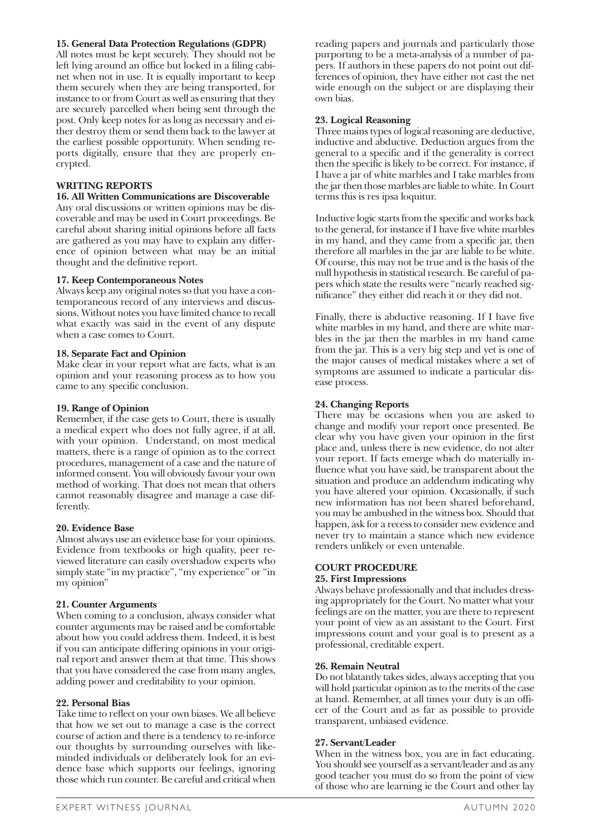#### **15. General Data Protection Regulations (GDPR)**

All notes must be kept securely. They should not be left lying around an office but locked in a filing cabinet when not in use. It is equally important to keep them securely when they are being transported, for instance to or from Court as well as ensuring that they are securely parcelled when being sent through the post. Only keep notes for as long as necessary and either destroy them or send them back to the lawyer at the earliest possible opportunity. When sending reports digitally, ensure that they are properly encrypted.

#### **WRITING REPORTS**

#### **16. All Written Communications are Discoverable**

Any oral discussions or written opinions may be discoverable and may be used in Court proceedings. Be careful about sharing initial opinions before all facts are gathered as you may have to explain any difference of opinion between what may be an initial thought and the definitive report.

#### **17. Keep Contemporaneous Notes**

Always keep any original notes so that you have a contemporaneous record of any interviews and discussions. Without notes you have limited chance to recall what exactly was said in the event of any dispute when a case comes to Court.

#### **18. Separate Fact and Opinion**

Make clear in your report what are facts, what is an opinion and your reasoning process as to how you came to any specific conclusion.

#### **19. Range of Opinion**

Remember, if the case gets to Court, there is usually a medical expert who does not fully agree, if at all, with your opinion. Understand, on most medical matters, there is a range of opinion as to the correct procedures, management of a case and the nature of informed consent. You will obviously favour your own method of working. That does not mean that others cannot reasonably disagree and manage a case differently.

#### **20. Evidence Base**

Almost always use an evidence base for your opinions. Evidence from textbooks or high quality, peer reviewed literature can easily overshadow experts who simply state "in my practice", "my experience" or "in my opinion"

#### **21. Counter Arguments**

When coming to a conclusion, always consider what counter arguments may be raised and be comfortable about how you could address them. Indeed, it is best if you can anticipate differing opinions in your original report and answer them at that time. This shows that you have considered the case from many angles, adding power and creditability to your opinion.

#### **22. Personal Bias**

Take time to reflect on your own biases. We all believe that how we set out to manage a case is the correct course of action and there is a tendency to re-inforce our thoughts by surrounding ourselves with likeminded individuals or deliberately look for an evidence base which supports our feelings, ignoring those which run counter. Be careful and critical when

reading papers and journals and particularly those purporting to be a meta-analysis of a number of papers. If authors in these papers do not point out differences of opinion, they have either not cast the net wide enough on the subject or are displaying their own bias.

#### **23. Logical Reasoning**

Three mains types of logical reasoning are deductive, inductive and abductive. Deduction argues from the general to a specific and if the generality is correct then the specific is likely to be correct. For instance, if I have a jar of white marbles and I take marbles from the jar then those marbles are liable to white. In Court terms this is res ipsa loquitur.

Inductive logic starts from the specific and works back to the general, for instance if I have five white marbles in my hand, and they came from a specific jar, then therefore all marbles in the jar are liable to be white. Of course, this may not be true and is the basis of the null hypothesis in statistical research. Be careful of papers which state the results were "nearly reached significance" they either did reach it or they did not.

Finally, there is abductive reasoning. If I have five white marbles in my hand, and there are white marbles in the jar then the marbles in my hand came from the jar. This is a very big step and yet is one of the major causes of medical mistakes where a set of symptoms are assumed to indicate a particular disease process.

#### **24. Changing Reports**

There may be occasions when you are asked to change and modify your report once presented. Be clear why you have given your opinion in the first place and, unless there is new evidence, do not alter your report. If facts emerge which do materially influence what you have said, be transparent about the situation and produce an addendum indicating why you have altered your opinion. Occasionally, if such new information has not been shared beforehand, you may be ambushed in the witness box. Should that happen, ask for a recess to consider new evidence and never try to maintain a stance which new evidence renders unlikely or even untenable.

#### **COURT PROCEDURE**

#### **25. First Impressions**

Always behave professionally and that includes dressing appropriately for the Court. No matter what your feelings are on the matter, you are there to represent your point of view as an assistant to the Court. First impressions count and your goal is to present as a professional, creditable expert.

#### **26. Remain Neutral**

Do not blatantly takes sides, always accepting that you will hold particular opinion as to the merits of the case at hand. Remember, at all times your duty is an officer of the Court and as far as possible to provide transparent, unbiased evidence.

#### **27. Servant/Leader**

When in the witness box, you are in fact educating. You should see yourself as a servant/leader and as any good teacher you must do so from the point of view of those who are learning ie the Court and other lay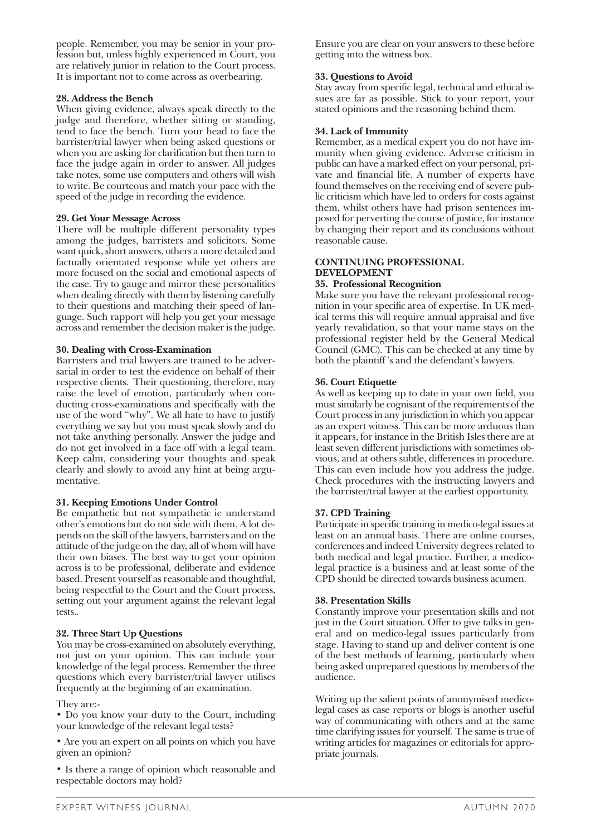people. Remember, you may be senior in your profession but, unless highly experienced in Court, you are relatively junior in relation to the Court process. It is important not to come across as overbearing.

# **28. Address the Bench**

When giving evidence, always speak directly to the judge and therefore, whether sitting or standing, tend to face the bench. Turn your head to face the barrister/trial lawyer when being asked questions or when you are asking for clarification but then turn to face the judge again in order to answer. All judges take notes, some use computers and others will wish to write. Be courteous and match your pace with the speed of the judge in recording the evidence.

# **29. Get Your Message Across**

There will be multiple different personality types among the judges, barristers and solicitors. Some want quick, short answers, others a more detailed and factually orientated response while yet others are more focused on the social and emotional aspects of the case. Try to gauge and mirror these personalities when dealing directly with them by listening carefully to their questions and matching their speed of language. Such rapport will help you get your message across and remember the decision maker is the judge.

# **30. Dealing with Cross-Examination**

Barristers and trial lawyers are trained to be adversarial in order to test the evidence on behalf of their respective clients. Their questioning, therefore, may raise the level of emotion, particularly when conducting cross-examinations and specifically with the use of the word "why". We all hate to have to justify everything we say but you must speak slowly and do not take anything personally. Answer the judge and do not get involved in a face off with a legal team. Keep calm, considering your thoughts and speak clearly and slowly to avoid any hint at being argumentative.

# **31. Keeping Emotions Under Control**

Be empathetic but not sympathetic ie understand other's emotions but do not side with them. A lot depends on the skill of the lawyers, barristers and on the attitude of the judge on the day, all of whom will have their own biases. The best way to get your opinion across is to be professional, deliberate and evidence based. Present yourself as reasonable and thoughtful, being respectful to the Court and the Court process, setting out your argument against the relevant legal tests..

# **32. Three Start Up Questions**

You may be cross-examined on absolutely everything, not just on your opinion. This can include your knowledge of the legal process. Remember the three questions which every barrister/trial lawyer utilises frequently at the beginning of an examination.

#### They are:-

• Do you know your duty to the Court, including your knowledge of the relevant legal tests?

• Are you an expert on all points on which you have given an opinion?

• Is there a range of opinion which reasonable and respectable doctors may hold?

Ensure you are clear on your answers to these before getting into the witness box.

# **33. Questions to Avoid**

Stay away from specific legal, technical and ethical issues are far as possible. Stick to your report, your stated opinions and the reasoning behind them.

#### **34. Lack of Immunity**

Remember, as a medical expert you do not have immunity when giving evidence. Adverse criticism in public can have a marked effect on your personal, private and financial life. A number of experts have found themselves on the receiving end of severe public criticism which have led to orders for costs against them, whilst others have had prison sentences imposed for perverting the course of justice, for instance by changing their report and its conclusions without reasonable cause.

#### **CONTINUING PROFESSIONAL DEVELOPMENT**

#### **35. Professional Recognition**

Make sure you have the relevant professional recognition in your specific area of expertise. In UK medical terms this will require annual appraisal and five yearly revalidation, so that your name stays on the professional register held by the General Medical Council (GMC). This can be checked at any time by both the plaintiff 's and the defendant's lawyers.

# **36. Court Etiquette**

As well as keeping up to date in your own field, you must similarly be cognisant of the requirements of the Court process in any jurisdiction in which you appear as an expert witness. This can be more arduous than it appears, for instance in the British Isles there are at least seven different jurisdictions with sometimes obvious, and at others subtle, differences in procedure. This can even include how you address the judge. Check procedures with the instructing lawyers and the barrister/trial lawyer at the earliest opportunity.

# **37. CPD Training**

Participate in specific training in medico-legal issues at least on an annual basis. There are online courses, conferences and indeed University degrees related to both medical and legal practice. Further, a medicolegal practice is a business and at least some of the CPD should be directed towards business acumen.

#### **38. Presentation Skills**

Constantly improve your presentation skills and not just in the Court situation. Offer to give talks in general and on medico-legal issues particularly from stage. Having to stand up and deliver content is one of the best methods of learning, particularly when being asked unprepared questions by members of the audience.

Writing up the salient points of anonymised medicolegal cases as case reports or blogs is another useful way of communicating with others and at the same time clarifying issues for yourself. The same is true of writing articles for magazines or editorials for appropriate journals.